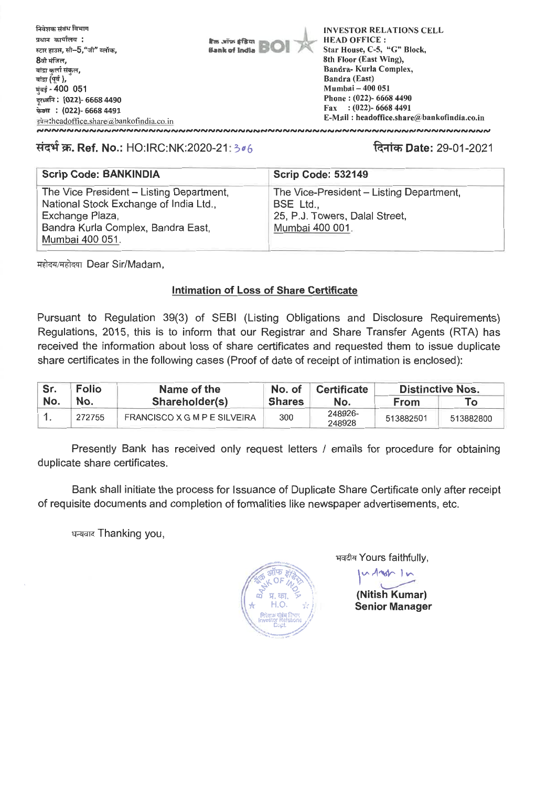

## **1474W. Ref. No.:** HO:IRC:NK:2020-21: ci() **q.1 rat Date:** 29-01-2021

| <b>Scrip Code: BANKINDIA</b>                                                       | <b>Scrip Code: 532149</b>                             |
|------------------------------------------------------------------------------------|-------------------------------------------------------|
| The Vice President - Listing Department,<br>National Stock Exchange of India Ltd., | The Vice-President - Listing Department,<br>BSE Ltd., |
| Exchange Plaza,                                                                    | 25, P.J. Towers, Dalal Street,                        |
| Bandra Kurla Complex, Bandra East,<br>Mumbai 400 051.                              | Mumbai 400 001.                                       |
|                                                                                    |                                                       |

महोदय/महोदया Dear Sir/Madam,

## **Intimation of Loss of Share Certificate**

Pursuant to Regulation 39(3) of SEBI (Listing Obligations and Disclosure Requirements) Regulations, 2015, this is to inform that our Registrar and Share Transfer Agents (RTA) has received the information about loss of share certificates and requested them to issue duplicate share certificates in the following cases (Proof of date of receipt of intimation is enclosed):

| Sr. | <b>Folio</b> | Name of the                  | No. of        | <b>Certificate</b> | <b>Distinctive Nos.</b> |           |  |
|-----|--------------|------------------------------|---------------|--------------------|-------------------------|-----------|--|
| No. | No.          | Shareholder(s)               | <b>Shares</b> | Nο.                | <b>From</b>             | Тο        |  |
|     | 272755       | FRANCISCO X G M P E SILVEIRA | 300           | 248926-<br>248928  | 513882501               | 513882800 |  |

Presently Bank has received only request letters / emails for procedure for obtaining duplicate share certificates.

Bank shall initiate the process for Issuance of Duplicate Share Certificate only after receipt of requisite documents and completion of formalities like newspaper advertisements, etc.

धन्यवाद Thanking you,

 $\frac{1}{2}$  $*$  H.O.  $\sigma$  P<sub>1</sub>.  $\overline{m}$ ,  $\overline{p}$  $\bigwedge$  **Rives data** Revive  $\bigwedge$ Cc,pt. -.

भवदीय Yours faithfully,

I  $vA$ **(Nitish Kumar)** 

**Senior Manager**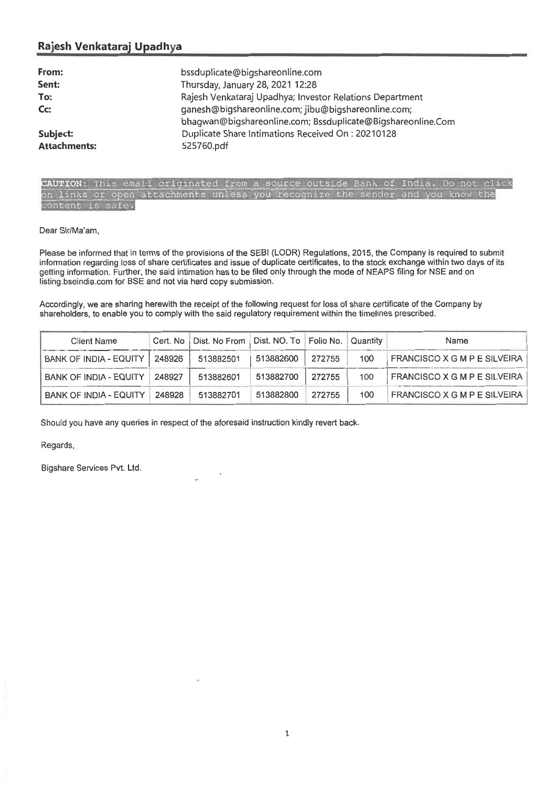# **Rajesh Venkataraj Upadhya**

| From:               | bssduplicate@bigshareonline.com                                                                                    |
|---------------------|--------------------------------------------------------------------------------------------------------------------|
| Sent:               | Thursday, January 28, 2021 12:28                                                                                   |
| To:                 | Rajesh Venkataraj Upadhya; Investor Relations Department                                                           |
| Cc:                 | ganesh@bigshareonline.com; jibu@bigshareonline.com;<br>bhagwan@biqshareonline.com; Bssduplicate@Bigshareonline.Com |
| Subject:            | Duplicate Share Intimations Received On: 20210128                                                                  |
| <b>Attachments:</b> | 525760.pdf                                                                                                         |

| CAUTION: This email originated from a source outside Bank of India. Do not click |  |  |  |  |  |  |  |  |  |
|----------------------------------------------------------------------------------|--|--|--|--|--|--|--|--|--|
| on links or open attachments unless you recognize the sender and you know the    |  |  |  |  |  |  |  |  |  |
| content is safe.                                                                 |  |  |  |  |  |  |  |  |  |

#### Dear Sir/Ma'am,

Please be informed that in terms of the provisions of the SEBI (LODR) Regulations, 2015, the Company is required to submit information regarding loss of share certificates and issue of duplicate certificates, to the stock exchange within two days of its getting information. Further, the said intimation has to be filed only through the mode of NEAPS filing for NSE and on listing.bseindia.com for BSE and not via hard copy submission.

Accordingly, we are sharing herewith the receipt of the following request for loss of share certificate of the Company by shareholders, to enable you to comply with the said regulatory requirement within the timelines prescribed.

| Client Name                     | Cert. No   Dist. No From   Dist. NO. To   Folio No.   Quantity |           |        |     | Name                         |
|---------------------------------|----------------------------------------------------------------|-----------|--------|-----|------------------------------|
| BANK OF INDIA - EQUITY   248926 | 513882501                                                      | 513882600 | 272755 | 100 | FRANCISCO X G M P E SILVEIRA |
| BANK OF INDIA - EQUITY   248927 | 513882601                                                      | 513882700 | 272755 | 100 | FRANCISCO X G M P E SILVEIRA |
| BANK OF INDIA - EQUITY   248928 | 513882701                                                      | 513882800 | 272755 | 100 | FRANCISCO X G M P E SILVEIRA |

Should you have any queries **in respect of the aforesaid instruction kindly revert** back.

### Regards,

Bigshare Services Pvt. Ltd.